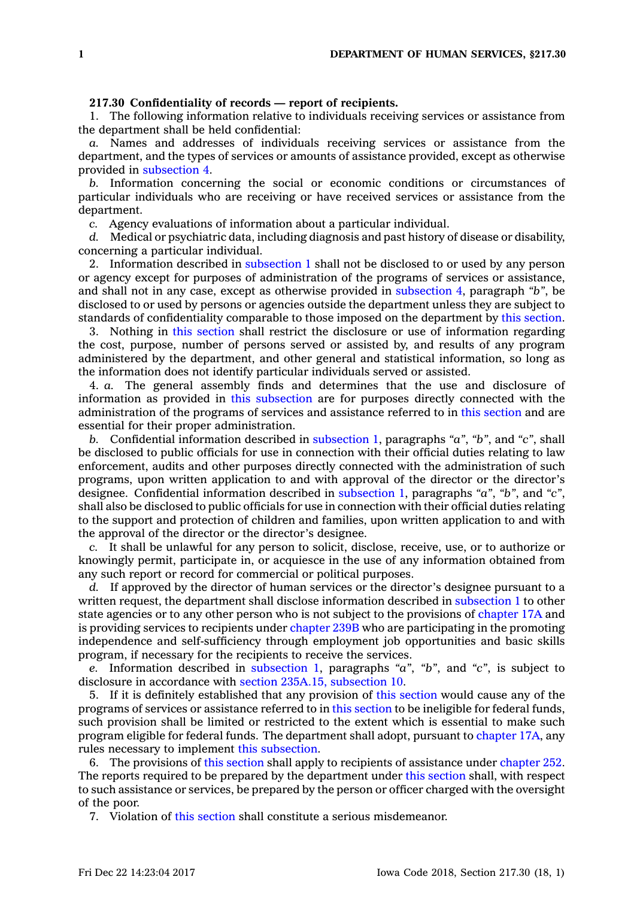## **217.30 Confidentiality of records — report of recipients.**

1. The following information relative to individuals receiving services or assistance from the department shall be held confidential:

*a.* Names and addresses of individuals receiving services or assistance from the department, and the types of services or amounts of assistance provided, except as otherwise provided in [subsection](https://www.legis.iowa.gov/docs/code/217.30.pdf) 4.

*b.* Information concerning the social or economic conditions or circumstances of particular individuals who are receiving or have received services or assistance from the department.

*c.* Agency evaluations of information about <sup>a</sup> particular individual.

*d.* Medical or psychiatric data, including diagnosis and past history of disease or disability, concerning <sup>a</sup> particular individual.

2. Information described in [subsection](https://www.legis.iowa.gov/docs/code/217.30.pdf) 1 shall not be disclosed to or used by any person or agency except for purposes of administration of the programs of services or assistance, and shall not in any case, except as otherwise provided in [subsection](https://www.legis.iowa.gov/docs/code/217.30.pdf) 4, paragraph *"b"*, be disclosed to or used by persons or agencies outside the department unless they are subject to standards of confidentiality comparable to those imposed on the department by this [section](https://www.legis.iowa.gov/docs/code/217.30.pdf).

3. Nothing in this [section](https://www.legis.iowa.gov/docs/code/217.30.pdf) shall restrict the disclosure or use of information regarding the cost, purpose, number of persons served or assisted by, and results of any program administered by the department, and other general and statistical information, so long as the information does not identify particular individuals served or assisted.

4. *a.* The general assembly finds and determines that the use and disclosure of information as provided in this [subsection](https://www.legis.iowa.gov/docs/code/217.30.pdf) are for purposes directly connected with the administration of the programs of services and assistance referred to in this [section](https://www.legis.iowa.gov/docs/code/217.30.pdf) and are essential for their proper administration.

*b.* Confidential information described in [subsection](https://www.legis.iowa.gov/docs/code/217.30.pdf) 1, paragraphs *"a"*, *"b"*, and *"c"*, shall be disclosed to public officials for use in connection with their official duties relating to law enforcement, audits and other purposes directly connected with the administration of such programs, upon written application to and with approval of the director or the director's designee. Confidential information described in [subsection](https://www.legis.iowa.gov/docs/code/217.30.pdf) 1, paragraphs *"a"*, *"b"*, and *"c"*, shall also be disclosed to public officials for use in connection with their official duties relating to the support and protection of children and families, upon written application to and with the approval of the director or the director's designee.

*c.* It shall be unlawful for any person to solicit, disclose, receive, use, or to authorize or knowingly permit, participate in, or acquiesce in the use of any information obtained from any such report or record for commercial or political purposes.

*d.* If approved by the director of human services or the director's designee pursuant to <sup>a</sup> written request, the department shall disclose information described in [subsection](https://www.legis.iowa.gov/docs/code/217.30.pdf) 1 to other state agencies or to any other person who is not subject to the provisions of [chapter](https://www.legis.iowa.gov/docs/code//17A.pdf) 17A and is providing services to recipients under [chapter](https://www.legis.iowa.gov/docs/code//239B.pdf) 239B who are participating in the promoting independence and self-sufficiency through employment job opportunities and basic skills program, if necessary for the recipients to receive the services.

*e.* Information described in [subsection](https://www.legis.iowa.gov/docs/code/217.30.pdf) 1, paragraphs *"a"*, *"b"*, and *"c"*, is subject to disclosure in accordance with section 235A.15, [subsection](https://www.legis.iowa.gov/docs/code/235A.15.pdf) 10.

5. If it is definitely established that any provision of this [section](https://www.legis.iowa.gov/docs/code/217.30.pdf) would cause any of the programs of services or assistance referred to in this [section](https://www.legis.iowa.gov/docs/code/217.30.pdf) to be ineligible for federal funds, such provision shall be limited or restricted to the extent which is essential to make such program eligible for federal funds. The department shall adopt, pursuant to [chapter](https://www.legis.iowa.gov/docs/code//17A.pdf) 17A, any rules necessary to implement this [subsection](https://www.legis.iowa.gov/docs/code/217.30.pdf).

6. The provisions of this [section](https://www.legis.iowa.gov/docs/code/217.30.pdf) shall apply to recipients of assistance under [chapter](https://www.legis.iowa.gov/docs/code//252.pdf) 252. The reports required to be prepared by the department under this [section](https://www.legis.iowa.gov/docs/code/217.30.pdf) shall, with respect to such assistance or services, be prepared by the person or officer charged with the oversight of the poor.

7. Violation of this [section](https://www.legis.iowa.gov/docs/code/217.30.pdf) shall constitute <sup>a</sup> serious misdemeanor.